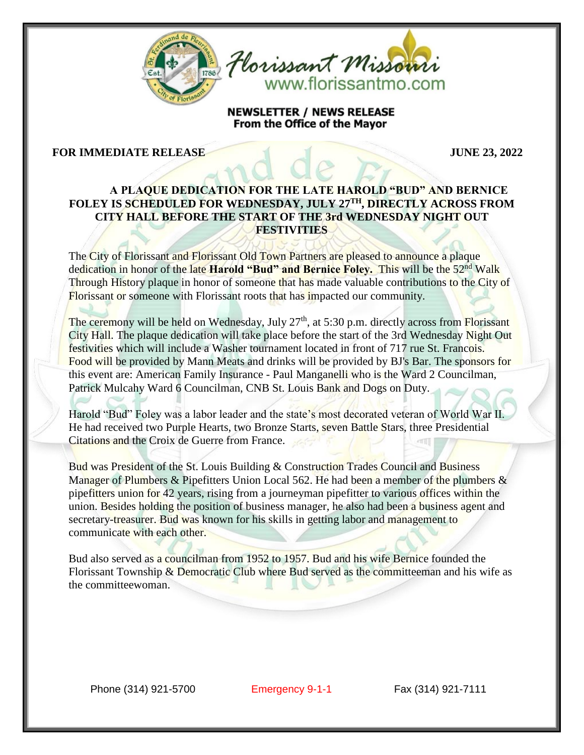



**NEWSLETTER / NEWS RELEASE** From the Office of the Mayor

## **FOR IMMEDIATE RELEASE JUNE 23, 2022**

## **A PLAQUE DEDICATION FOR THE LATE HAROLD "BUD" AND BERNICE FOLEY IS SCHEDULED FOR WEDNESDAY, JULY 27TH, DIRECTLY ACROSS FROM CITY HALL BEFORE THE START OF THE 3rd WEDNESDAY NIGHT OUT FESTIVITIES**

The City of Florissant and Florissant Old Town Partners are pleased to announce a plaque dedication in honor of the late **Harold "Bud" and Bernice Foley.** This will be the 52nd Walk Through History plaque in honor of someone that has made valuable contributions to the City of Florissant or someone with Florissant roots that has impacted our community.

The ceremony will be held on Wednesday, July 27<sup>th</sup>, at 5:30 p.m. directly across from Florissant City Hall. The plaque dedication will take place before the start of the 3rd Wednesday Night Out festivities which will include a Washer tournament located in front of 717 rue St. Francois. Food will be provided by Mann Meats and drinks will be provided by BJ's Bar. The sponsors for this event are: American Family Insurance - Paul Manganelli who is the Ward 2 Councilman, Patrick Mulcahy Ward 6 Councilman, CNB St. Louis Bank and Dogs on Duty.

Harold "Bud" Foley was a labor leader and the state's most decorated veteran of World War II. He had received two Purple Hearts, two Bronze Starts, seven Battle Stars, three Presidential Citations and the Croix de Guerre from France.

Bud was President of the St. Louis Building & Construction Trades Council and Business Manager of Plumbers & Pipefitters Union Local 562. He had been a member of the plumbers & pipefitters union for 42 years, rising from a journeyman pipefitter to various offices within the union. Besides holding the position of business manager, he also had been a business agent and secretary-treasurer. Bud was known for his skills in getting labor and management to communicate with each other.

Bud also served as a councilman from 1952 to 1957. Bud and his wife Bernice founded the Florissant Township  $&$  Democratic Club where Bud served as the committeeman and his wife as the committeewoman.

Phone (314) 921-5700 Emergency 9-1-1 Fax (314) 921-7111